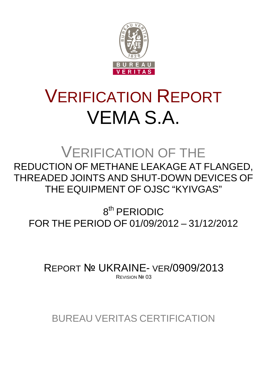

# VERIFICATION REPORT VEMA S.A.

## VERIFICATION OF THE REDUCTION OF METHANE LEAKAGE AT FLANGED, THREADED JOINTS AND SHUT-DOWN DEVICES OF THE EQUIPMENT OF OJSC "KYIVGAS"

8<sup>th</sup> PERIODIC FOR THE PERIOD OF 01/09/2012 – 31/12/2012

REPORT № UKRAINE- VER/0909/2013 REVISION Nº 03

BUREAU VERITAS CERTIFICATION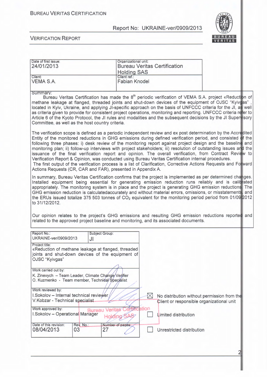Date of first issue: <br>  $\qquad$  Organizational unit:

#### Report No: UKRAINE-ver/0909/2013



21

| 24/01/2013                                                                                                                                                          |                 | <b>Bureau Veritas Certification</b><br><b>Holding SAS</b> |                                      |                                                                                                      |                                                                                                                                                                                                                                                                                                                                                                                                                                                                                                                                                                                                                                                                                                     |
|---------------------------------------------------------------------------------------------------------------------------------------------------------------------|-----------------|-----------------------------------------------------------|--------------------------------------|------------------------------------------------------------------------------------------------------|-----------------------------------------------------------------------------------------------------------------------------------------------------------------------------------------------------------------------------------------------------------------------------------------------------------------------------------------------------------------------------------------------------------------------------------------------------------------------------------------------------------------------------------------------------------------------------------------------------------------------------------------------------------------------------------------------------|
| Client:<br>VEMA S.A.                                                                                                                                                |                 |                                                           | Client ref.:<br><b>Fabian Knodel</b> |                                                                                                      |                                                                                                                                                                                                                                                                                                                                                                                                                                                                                                                                                                                                                                                                                                     |
| Summary:<br>Committee, as well as the host country criteria.                                                                                                        |                 |                                                           |                                      |                                                                                                      | Bureau Veritas Certification has made the 8 <sup>th</sup> periodic verification of VEMA S.A. project «Reduction of<br>methane leakage at flanged, threaded joints and shut-down devices of the equipment of OJSC "Kyivgas",<br>located in Kyiv, Ukraine, and applying JI-specific approach on the basis of UNFCCC criteria for the JI, as well<br>as criteria given to provide for consistent project operations, monitoring and reporting. UNFCCC criteria refer to<br>Article 6 of the Kyoto Protocol, the JI rules and modalities and the subsequent decisions by the JI Superwisory                                                                                                             |
| Actions Requests (CR, CAR and FAR), presented in Appendix A.                                                                                                        |                 |                                                           |                                      | Verification Report & Opinion, was conducted using Bureau Veritas Certification internal procedures. | The verification scope is defined as a periodic independent review and ex post determination by the Accredited<br>Entity of the monitored reductions in GHG emissions during defined verification period, and consisted of the<br>following three phases: i) desk review of the monitoring report against project design and the baseline and<br>monitoring plan; ii) follow-up interviews with project stakeholders; iii) resolution of outstanding issues and the<br>issuance of the final verification report and opinion. The overall verification, from Contract Review to<br>The first output of the verification process is a list of Clarification, Corrective Actions Requests and Forward |
| to 31/12/2012.                                                                                                                                                      |                 |                                                           |                                      | related to the approved project baseline and monitoring, and its associated documents.               | In summary, Bureau Veritas Certification confirms that the project is implemented as per determined changes.<br>Installed equipment being essential for generating emission reduction runs reliably and is calit ated<br>appropriately. The monitoring system is in place and the project is generating GHG emission reductions. The<br>GHG emission reduction is calculatedaccurately and without material errors, omissions, or misstatements and<br>the ERUs issued totalize 375 503 tonnes of $CO2$ equivalent for the monitoring period period from 01/09/2012<br>Our opinion relates to the project's GHG emissions and resulting GHG emission reductions reported and                        |
| Report No.:                                                                                                                                                         |                 | Subject Group:                                            |                                      |                                                                                                      |                                                                                                                                                                                                                                                                                                                                                                                                                                                                                                                                                                                                                                                                                                     |
| UKRAINE-ver/0909/2013<br>Project title:<br>«Reduction of methane leakage at flanged, threaded<br>joints and shut-down devices of the equipment of<br>OJSC "Kyivgas" | JI              |                                                           |                                      |                                                                                                      |                                                                                                                                                                                                                                                                                                                                                                                                                                                                                                                                                                                                                                                                                                     |
| Work carried out by:<br>K. Zinevych - Team Leader, Climate Change/Verifier<br>O. Kuzmenko - Team member, Techniéal Speciálist                                       |                 |                                                           |                                      |                                                                                                      |                                                                                                                                                                                                                                                                                                                                                                                                                                                                                                                                                                                                                                                                                                     |
| Work reviewed by:<br>I.Sokolov - Internal technical reviewer<br>V.Kobzar - Technical specialist<br>Work approved by:                                                |                 | Veritas                                                   | $\bowtie$<br>ertification            | No distribution without permission from the<br>Client or responsible organizational unit             |                                                                                                                                                                                                                                                                                                                                                                                                                                                                                                                                                                                                                                                                                                     |
| I.Sokolov - Operational Manager                                                                                                                                     |                 | <b>Bureau</b><br><b>Holding</b>                           |                                      | Limited distribution                                                                                 |                                                                                                                                                                                                                                                                                                                                                                                                                                                                                                                                                                                                                                                                                                     |
| Date of this revision:<br>08/04/2013                                                                                                                                | Rev. No.:<br>03 | Number of pages:<br>27                                    |                                      | Unrestricted distribution                                                                            |                                                                                                                                                                                                                                                                                                                                                                                                                                                                                                                                                                                                                                                                                                     |
|                                                                                                                                                                     |                 |                                                           |                                      |                                                                                                      |                                                                                                                                                                                                                                                                                                                                                                                                                                                                                                                                                                                                                                                                                                     |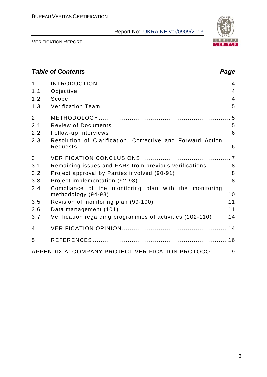

VERIFICATION REPORT

### *Table of Contents Page* 1 INTRODUCTION .................................................................... 4 1.1 Objective 4 1.2 Scope 4 1.3 Verification Team 5 2 METHODOLOGY .................................................................... 5 2.1 Review of Documents 5 2.2 Follow-up Interviews 6 2.3 Resolution of Clarification, Corrective and Forward Action Requests 6 3 VERIFICATION CONCLUSIONS .............................................. 7 3.1 Remaining issues and FARs from previous verifications 8 3.2 Project approval by Parties involved (90-91) 8 3.3 Project implementation (92-93) 8 3.4 Compliance of the monitoring plan with the monitoring methodology (94-98) 10 3.5 Revision of monitoring plan (99-100) 11 3.6 Data management (101) 11 3.7 Verification regarding programmes of activities (102-110) 14 4 VERIFICATION OPINION ...................................................... 14 5 REFERENCES ..................................................................... 16 APPENDIX A: COMPANY PROJECT VERIFICATION PROTOCOL ...... 19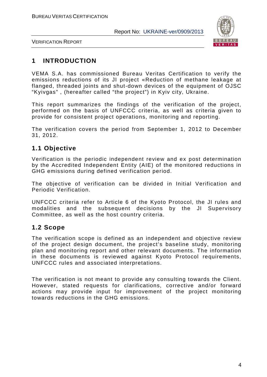

VERIFICATION REPORT

#### **1 INTRODUCTION**

VEMA S.A. has commissioned Bureau Veritas Certification to verify the emissions reductions of its JI project «Reduction of methane leakage at flanged, threaded joints and shut-down devices of the equipment of OJSC "Kyivgas" , (hereafter called "the project") in Kyiv city, Ukraine.

This report summarizes the findings of the verification of the project, performed on the basis of UNFCCC criteria, as well as criteria given to provide for consistent project operations, monitoring and reporting.

The verification covers the period from September 1, 2012 to December 31, 2012.

#### **1.1 Objective**

Verification is the periodic independent review and ex post determination by the Accredited Independent Entity (AIE) of the monitored reductions in GHG emissions during defined verification period.

The objective of verification can be divided in Initial Verification and Periodic Verification.

UNFCCC criteria refer to Article 6 of the Kyoto Protocol, the JI rules and modalities and the subsequent decisions by the JI Supervisory Committee, as well as the host country criteria.

#### **1.2 Scope**

The verification scope is defined as an independent and objective review of the project design document, the project's baseline study, monitoring plan and monitoring report and other relevant documents. The information in these documents is reviewed against Kyoto Protocol requirements, UNFCCC rules and associated interpretations.

The verification is not meant to provide any consulting towards the Client. However, stated requests for clarifications, corrective and/or forward actions may provide input for improvement of the project monitoring towards reductions in the GHG emissions.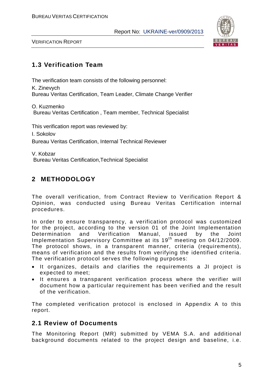

VERIFICATION REPORT

#### **1.3 Verification Team**

The verification team consists of the following personnel:

K. Zinevych Bureau Veritas Certification, Team Leader, Climate Change Verifier

O. Kuzmenko Bureau Veritas Certification , Team member, Technical Specialist

This verification report was reviewed by:

I. Sokolov

Bureau Veritas Certification, Internal Technical Reviewer

V. Kobzar Bureau Veritas Certification,Technical Specialist

#### **2 METHODOLOGY**

The overall verification, from Contract Review to Verification Report & Opinion, was conducted using Bureau Veritas Certification internal procedures.

In order to ensure transparency, a verification protocol was customized for the project, according to the version 01 of the Joint Implementation Determination and Verification Manual, issued by the Joint Implementation Supervisory Committee at its 19<sup>th</sup> meeting on 04/12/2009. The protocol shows, in a transparent manner, criteria (requirements), means of verification and the results from verifying the identified criteria. The verification protocol serves the following purposes:

- It organizes, details and clarifies the requirements a JI project is expected to meet;
- It ensures a transparent verification process where the verifier will document how a particular requirement has been verified and the result of the verification.

The completed verification protocol is enclosed in Appendix A to this report.

#### **2.1 Review of Documents**

The Monitoring Report (MR) submitted by VEMA S.A. and additional background documents related to the project design and baseline, i.e.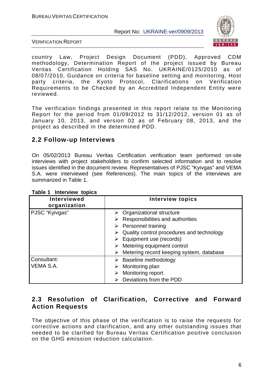

VERIFICATION REPORT

country Law, Project Design Document (PDD), Approved CDM methodology, Determination Report of the project issued by Bureau Veritas Certification Holding SAS No. UKRAINE/0125/2010 as of 08/07/2010, Guidance on criteria for baseline setting and monitoring, Host party criteria, the Kyoto Protocol, Clarifications on Verification Requirements to be Checked by an Accredited Independent Entity were reviewed.

The verification findings presented in this report relate to the Monitoring Report for the period from 01/09/2012 to 31/12/2012, version 01 as of January 10, 2013, and version 02 as of February 08, 2013, and the project as described in the determined PDD.

#### **2.2 Follow-up Interviews**

On 05/02/2013 Bureau Veritas Certification verification team performed on-site interviews with project stakeholders to confirm selected information and to resolve issues identified in the document review. Representatives of PJSC "Kyivgas" and VEMA S.A. were interviewed (see References). The main topics of the interviews are summarized in Table 1.

| Interviewed<br>organization | <b>Interview topics</b>                                                                                                                                                                                                                                                     |
|-----------------------------|-----------------------------------------------------------------------------------------------------------------------------------------------------------------------------------------------------------------------------------------------------------------------------|
| PJSC "Kyivgas"              | $\triangleright$ Organizational structure<br>Responsibilities and authorities<br>$\triangleright$ Personnel training<br>Quality control procedures and technology<br>Equipment use (records)<br>Metering equipment control<br>Metering record keeping system, database<br>➤ |
| Consultant:<br>VEMA S.A.    | Baseline methodology<br>Monitoring plan<br>Monitoring report<br>Deviations from the PDD                                                                                                                                                                                     |

#### **Table 1 Interview topics**

#### **2.3 Resolution of Clarification, Corrective and Forward Action Requests**

The objective of this phase of the verification is to raise the requests for corrective actions and clarification, and any other outstanding issues that needed to be clarified for Bureau Veritas Certification positive conclusion on the GHG emission reduction calculation.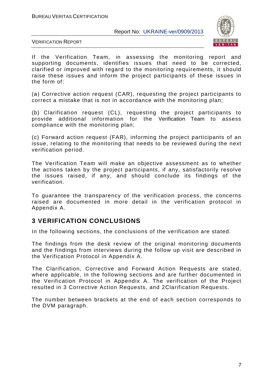

VERIFICATION REPORT

If the Verification Team, in assessing the monitoring report and supporting documents, identifies issues that need to be corrected, clarified or improved with regard to the monitoring requirements, it should raise these issues and inform the project participants of these issues in the form of:

(а) Corrective action request (CAR), requesting the project participants to correct a mistake that is not in accordance with the monitoring plan;

(b) Clarification request (CL), requesting the project participants to provide additional information for the Verification Team to assess compliance with the monitoring plan;

(c) Forward action request (FAR), informing the project participants of an issue, relating to the monitoring that needs to be reviewed during the next verification period.

The Verification Team will make an objective assessment as to whether the actions taken by the project participants, if any, satisfactorily resolve the issues raised, if any, and should conclude its findings of the verification.

To guarantee the transparency of the verification process, the concerns raised are documented in more detail in the verification protocol in Appendix A.

#### **3 VERIFICATION CONCLUSIONS**

In the following sections, the conclusions of the verification are stated.

The findings from the desk review of the original monitoring documents and the findings from interviews during the follow up visit are described in the Verification Protocol in Appendix A.

The Clarification, Corrective and Forward Action Requests are stated, where applicable, in the following sections and are further documented in the Verification Protocol in Appendix A. The verification of the Project resulted in 3 Corrective Action Requests, and 2Clarification Requests.

The number between brackets at the end of each section corresponds to the DVM paragraph.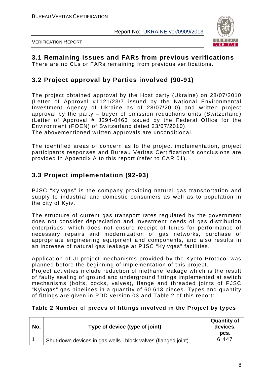

VERIFICATION REPORT

#### **3.1 Remaining issues and FARs from previous verifications** There are no CLs or FARs remaining from previous verifications.

#### **3.2 Project approval by Parties involved (90-91)**

The project obtained approval by the Host party (Ukraine) on 28/07/2010 (Letter of Approval #1121/23/7 issued by the National Environmental Investment Agency of Ukraine as of 28/07/2010) and written project approval by the party – buyer of emission reductions units (Switzerland) (Letter of Approval # J294-0463 issued by the Federal Office for the Environment (FOEN) of Switzerland dated 23/07/2010).

The abovementioned written approvals are unconditional.

The identified areas of concern as to the project implementation, project participants responses and Bureau Veritas Certification's conclusions are provided in Appendix A to this report (refer to CAR 01).

#### **3.3 Project implementation (92-93)**

PJSC "Kyivgas" is the company providing natural gas transportation and supply to industrial and domestic consumers as well as to population in the city of Kyiv.

The structure of current gas transport rates regulated by the government does not consider depreciation and investment needs of gas distribution enterprises, which does not ensure receipt of funds for performance of necessary repairs and modernization of gas networks, purchase of appropriate engineering equipment and components, and also results in an increase of natural gas leakage at PJSC "Kyivgas" facilities.

Application of JI project mechanisms provided by the Kyoto Protocol was planned before the beginning of implementation of this project.

Project activities include reduction of methane leakage which is the result of faulty sealing of ground and underground fittings implemented at switch mechanisms (bolts, cocks, valves), flange and threaded joints of PJSC "Kyivgas" gas pipelines in a quantity of 60 613 pieces. Types and quantity of fittings are given in PDD version 03 and Table 2 of this report:

#### **Table 2 Number of pieces of fittings involved in the Project by types**

| No. | Type of device (type of joint)                               | <b>Quantity of</b><br>devices,<br>DCS. |
|-----|--------------------------------------------------------------|----------------------------------------|
|     | Shut-down devices in gas wells- block valves (flanged joint) | 6 4 4 7                                |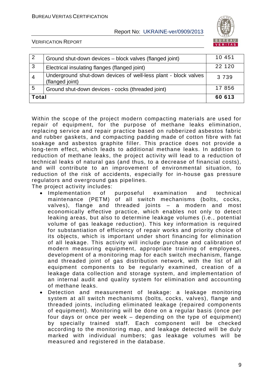

VERIFICATION REPORT

| -2             | Ground shut-down devices - block valves (flanged joint)                            | 10 451  |
|----------------|------------------------------------------------------------------------------------|---------|
| 3              | Electrical insulating flanges (flanged joint)                                      | 22 120  |
| $\overline{4}$ | Underground shut-down devices of well-less plant - block valves<br>(flanged joint) | 3 7 3 9 |
| 5              | Ground shut-down devices - cocks (threaded joint)                                  | 17 856  |
| <b>Total</b>   |                                                                                    | 60 613  |

Within the scope of the project modern compacting materials are used for repair of equipment, for the purpose of methane leaks elimination, replacing service and repair practice based on rubberized asbestos fabric and rubber gaskets, and compacting padding made of cotton fibre with fat soakage and asbestos graphite filler. This practice does not provide a long-term effect, which leads to additional methane leaks. In addition to reduction of methane leaks, the project activity will lead to a reduction of technical leaks of natural gas (and thus, to a decrease of financial costs), and will contribute to an improvement of environmental situation, to reduction of the risk of accidents, especially for in-house gas pressure regulators and overground gas pipelines.

The project activity includes:

- Implementation of purposeful examination and technical maintenance (PETM) of all switch mechanisms (bolts, cocks, valves), flange and threaded joints – a modern and most economically effective practice, which enables not only to detect leaking areas, but also to determine leakage volumes (i.e., potential volume of gas leakage reduction). This key information is required for substantiation of efficiency of repair works and priority choice of its objects, which is important under short financing for elimination of all leakage. This activity will include purchase and calibration of modern measuring equipment, appropriate training of employees, development of a monitoring map for each switch mechanism, flange and threaded joint of gas distribution network, with the list of all equipment components to be regularly examined, creation of a leakage data collection and storage system, and implementation of an internal audit and quality system for elimination and accounting of methane leaks.
- Detection and measurement of leakage: a leakage monitoring system at all switch mechanisms (bolts, cocks, valves), flange and threaded joints, including eliminated leakage (repaired components of equipment). Monitoring will be done on a regular basis (once per four days or once per week – depending on the type of equipment) by specially trained staff. Each component will be checked according to the monitoring map, and leakage detected will be duly marked with individual numbers; gas leakage volumes will be measured and registered in the database.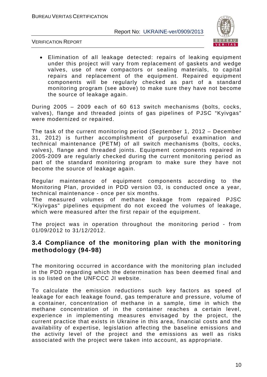

VERIFICATION REPORT

• Elimination of all leakage detected: repairs of leaking equipment under this project will vary from replacement of gaskets and wedge valves, use of new compactors or sealing materials, to capital repairs and replacement of the equipment. Repaired equipment components will be regularly checked as part of a standard monitoring program (see above) to make sure they have not become the source of leakage again.

During 2005 – 2009 each of 60 613 switch mechanisms (bolts, cocks, valves), flange and threaded joints of gas pipelines of PJSC "Kyivgas" were modernized or repaired.

The task of the current monitoring period (September 1, 2012 – December 31, 2012) is further accomplishment of purposeful examination and technical maintenance (PETM) of all switch mechanisms (bolts, cocks, valves), flange and threaded joints. Equipment components repaired in 2005-2009 are regularly checked during the current monitoring period as part of the standard monitoring program to make sure they have not become the source of leakage again.

Regular maintenance of equipment components according to the Monitoring Plan, provided in PDD version 03, is conducted once a year, technical maintenance - once per six months.

The measured volumes of methane leakage from repaired PJSC "Kiyivgas" pipelines equipment do not exceed the volumes of leakage, which were measured after the first repair of the equipment.

The project was in operation throughout the monitoring period - from 01/09/2012 to 31/12/2012.

#### **3.4 Compliance of the monitoring plan with the monitoring methodology (94-98)**

The monitoring occurred in accordance with the monitoring plan included in the PDD regarding which the determination has been deemed final and is so listed on the UNFCCC JI website.

To calculate the emission reductions such key factors as speed of leakage for each leakage found, gas temperature and pressure, volume of a container, concentration of methane in a sample, time in which the methane concentration of in the container reaches a certain level, experience in implementing measures envisaged by the project, the current practice that exists in Ukraine in this area, financial costs and the availability of expertise, legislation affecting the baseline emissions and the activity level of the project and the emissions as well as risks associated with the project were taken into account, as appropriate.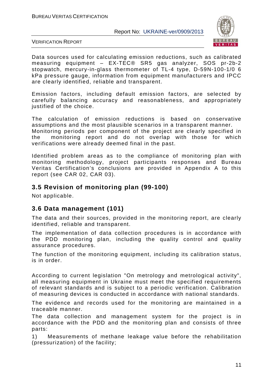

VERIFICATION REPORT

Data sources used for calculating emission reductions, such as calibrated measuring equipment – EX-TEC® SR5 gas analyzer, SOS pr-2b-2 stopwatch, mercury-in-glass thermometer of TL-4 type, D-59N-100-1/0 6 kPa pressure gauge, information from equipment manufacturers and IPCC are clearly identified, reliable and transparent.

Emission factors, including default emission factors, are selected by carefully balancing accuracy and reasonableness, and appropriately justified of the choice.

The calculation of emission reductions is based on conservative assumptions and the most plausible scenarios in a transparent manner. Monitoring periods per component of the project are clearly specified in the monitoring report and do not overlap with those for which verifications were already deemed final in the past.

Identified problem areas as to the compliance of monitoring plan with monitoring methodology, project participants responses and Bureau Veritas Certification's conclusions are provided in Appendix A to this report (see CAR 02, CAR 03).

#### **3.5 Revision of monitoring plan (99-100)**

Not applicable.

#### **3.6 Data management (101)**

The data and their sources, provided in the monitoring report, are clearly identified, reliable and transparent.

The implementation of data collection procedures is in accordance with the PDD monitoring plan, including the quality control and quality assurance procedures.

The function of the monitoring equipment, including its calibration status, is in order.

According to current legislation "On metrology and metrological activity", all measuring equipment in Ukraine must meet the specified requirements of relevant standards and is subject to a periodic verification. Calibration of measuring devices is conducted in accordance with national standards.

The evidence and records used for the monitoring are maintained in a traceable manner.

The data collection and management system for the project is in accordance with the PDD and the monitoring plan and consists of three parts:

1) Measurements of methane leakage value before the rehabilitation (pressurization) of the facility;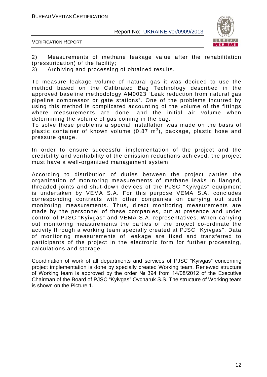

VERIFICATION REPORT

2) Measurements of methane leakage value after the rehabilitation (pressurization) of the facility;

3) Archiving and processing of obtained results.

To measure leakage volume of natural gas it was decided to use the method based on the Calibrated Bag Technology described in the approved baseline methodology AM0023 "Leak reduction from natural gas pipeline compressor or gate stations". One of the problems incurred by using this method is complicated accounting of the volume of the fittings where measurements are done, and the initial air volume when determining the volume of gas coming in the bag.

To solve these problems a special installation was made on the basis of plastic container of known volume (0.87  $\textsf{m}^{3}$ ), package, plastic hose and pressure gauge.

In order to ensure successful implementation of the project and the credibility and verifiability of the emission reductions achieved, the project must have a well-organized management system.

According to distribution of duties between the project parties the organization of monitoring measurements of methane leaks in flanged, threaded joints and shut-down devices of the PJSC "Kyivgas" equipment is undertaken by VEMA S.A. For this purpose VEMA S.A. concludes corresponding contracts with other companies on carrying out such monitoring measurements. Thus, direct monitoring measurements are made by the personnel of these companies, but at presence and under control of PJSC "Kyivgas" and VEMA S.A. representatives. When carrying out monitoring measurements the parties of the project co-ordinate the activity through a working team specially created at PJSC "Kyivgas". Data of monitoring measurements of leakage are fixed and transferred to participants of the project in the electronic form for further processing, calculations and storage.

Coordination of work of all departments and services of PJSC "Kyivgas" concerning project implementation is done by specially created Working team. Renewed structure of Working team is approved by the order № 394 from 14/08/2012 of the Executive Chairman of the Board of PJSC "Kyivgas" Ovcharuk S.S. The structure of Working team is shown on the Picture 1.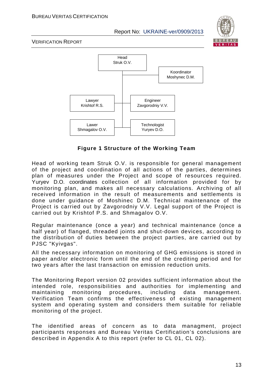

VERIFICATION REPORT



**Figure 1 Structure of the Working Team**

Head of working team Struk O.V. is responsible for general management of the project and coordination of all actions of the parties, determines plan of measures under the Project and scope of resources required. Yuryev D.O. coordinates collection of all information provided for by monitoring plan, and makes all necessary calculations. Archiving of all received information in the result of measurements and settlements is done under guidance of Moshinec D.M. Technical maintenance of the Project is carried out by Zavgorodniy V.V. Legal support of the Project is carried out by Krishtof P.S. and Shmagalov O.V.

Regular maintenance (once a year) and technical maintenance (once a half year) of flanged, threaded joints and shut-down devices, according to the distribution of duties between the project parties, are carried out by PJSC "Kyivgas".

All the necessary information on monitoring of GHG emissions is stored in paper and/or electronic form until the end of the crediting period and for two years after the last transaction on emission reduction units.

The Monitoring Report version 02 provides sufficient information about the intended role, responsibilities and authorities for implementing and maintaining monitoring procedures, including data management. Verification Team confirms the effectiveness of existing management system and operating system and considers them suitable for reliable monitoring of the project.

The identified areas of concern as to data managment, project participants responses and Bureau Veritas Certification's conclusions are described in Appendix A to this report (refer to CL 01, CL 02).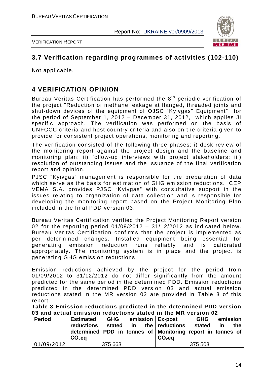



#### **3.7 Verification regarding programmes of activities (102-110)**

Not applicable.

#### **4 VERIFICATION OPINION**

Bureau Veritas Certification has performed the  $8<sup>th</sup>$  periodic verification of the project "Reduction of methane leakage at flanged, threaded joints and shut-down devices of the equipment of OJSC "Kyivgas" Equipment" for the period of September 1, 2012 – December 31, 2012, which applies JI specific approach. The verification was performed on the basis of UNFCCC criteria and host country criteria and also on the criteria given to provide for consistent project operations, monitoring and reporting.

The verification consisted of the following three phases: i) desk review of the monitoring report against the project design and the baseline and monitoring plan; ii) follow-up interviews with project stakeholders; iii) resolution of outstanding issues and the issuance of the final verification report and opinion.

PJSC "Kyivgas" management is responsible for the preparation of data which serve as the basis for estimation of GHG emission reductions. CEP VEMA S.A. provides PJSC "Kyivgas" with consultative support in the issues relating to organization of data collection and is responsible for developing the monitoring report based on the Project Monitoring Plan included in the final PDD version 03.

Bureau Veritas Certification verified the Project Monitoring Report version 02 for the reporting period  $01/09/2012 - 31/12/2012$  as indicated below. Bureau Veritas Certification confirms that the project is implemented as per determined changes. Installed equipment being essential for generating emission reduction runs reliably and is calibrated appropriately. The monitoring system is in place and the project is generating GHG emission reductions.

Emission reductions achieved by the project for the period from 01/09/2012 to 31/12/2012 do not differ significantly from the amount predicted for the same period in the determined PDD. Emission reductions predicted in the determined PDD version 03 and actual emission reductions stated in the MR version 02 are provided in Table 3 of this report.

**Table 3 Emission reductions predicted in the determined PDD version 03 and actual emission reductions stated in the MR version 02**

| <b>Period</b> | <b>Estimated</b><br><b>reductions</b><br>determined PDD in tonnes of Monitoring report in tonnes of<br>$CO2$ eq | <b>GHG</b><br>stated | in | emission   Ex-post<br>the $ $ reductions<br>$CO2$ eq | <b>GHG</b><br>stated | <u>in</u> | emission<br>the |
|---------------|-----------------------------------------------------------------------------------------------------------------|----------------------|----|------------------------------------------------------|----------------------|-----------|-----------------|
|               |                                                                                                                 |                      |    |                                                      |                      |           |                 |
| 101/09/2012   |                                                                                                                 | 375 663              |    |                                                      | 375 503              |           |                 |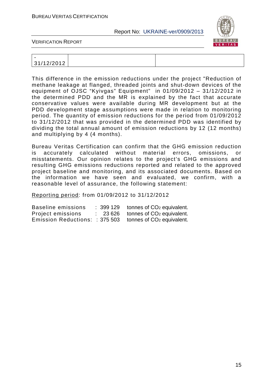

VERIFICATION REPORT

| -                     |  |
|-----------------------|--|
| 31/12/2012<br>12/ZU1Z |  |

This difference in the emission reductions under the project "Reduction of methane leakage at flanged, threaded joints and shut-down devices of the equipment of OJSC "Kyivgas" Equipment" in 01/09/2012 – 31/12/2012 in the determined PDD and the MR is explained by the fact that accurate conservative values were available during MR development but at the PDD development stage assumptions were made in relation to monitoring period. The quantity of emission reductions for the period from 01/09/2012 to 31/12/2012 that was provided in the determined PDD was identified by dividing the total annual amount of emission reductions by 12 (12 months) and multiplying by 4 (4 months).

Bureau Veritas Certification can confirm that the GHG emission reduction is accurately calculated without material errors, omissions, or misstatements. Our opinion relates to the project's GHG emissions and resulting GHG emissions reductions reported and related to the approved project baseline and monitoring, and its associated documents. Based on the information we have seen and evaluated, we confirm, with a reasonable level of assurance, the following statement:

Reporting period: from 01/09/2012 to 31/12/2012

| Baseline emissions             | : 399 129 | tonnes of CO <sub>2</sub> equivalent. |
|--------------------------------|-----------|---------------------------------------|
| Project emissions              | 23 626    | tonnes of CO <sub>2</sub> equivalent. |
| Emission Reductions: : 375 503 |           | tonnes of CO <sub>2</sub> equivalent. |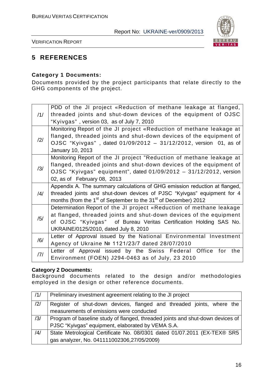

VERIFICATION REPORT

#### **5 REFERENCES**

#### **Category 1 Documents:**

Documents provided by the project participants that relate directly to the GHG components of the project.

|                | PDD of the JI project «Reduction of methane leakage at flanged,                         |
|----------------|-----------------------------------------------------------------------------------------|
| /1/            | threaded joints and shut-down devices of the equipment of OJSC                          |
|                | "Kyivgas", version 03, as of July 7, 2010                                               |
|                | Monitoring Report of the JI project «Reduction of methane leakage at                    |
| /2/            | flanged, threaded joints and shut-down devices of the equipment of                      |
|                | OJSC "Kyivgas", dated 01/09/2012 - 31/12/2012, version 01, as of                        |
|                | January 10, 2013                                                                        |
|                | Monitoring Report of the JI project "Reduction of methane leakage at                    |
| /3/            | flanged, threaded joints and shut-down devices of the equipment of                      |
|                | OJSC "Kyivgas" equipment", dated 01/09/2012 - 31/12/2012, version                       |
|                | 02, as of February 08, 2013                                                             |
|                | Appendix A. The summary calculations of GHG emission reduction at flanged,              |
| $\frac{14}{1}$ | threaded joints and shut-down devices of PJSC "Kyivgas" equipment for 4                 |
|                | months (from the 1 <sup>st</sup> of September to the 31 <sup>st</sup> of December) 2012 |
|                | Determination Report of the JI project «Reduction of methane leakage                    |
| /5/            | at flanged, threaded joints and shut-down devices of the equipment                      |
|                | of OJSC "Kyivgas" of Bureau Veritas Certification Holding SAS No.                       |
|                | UKRAINE/0125/2010, dated July 8, 2010                                                   |
| /6/            | Letter of Approval issued by the National Environmental Investment                      |
|                | Agency of Ukraine № 1121/23/7 dated 28/07/2010                                          |
| /7/            | Letter of Approval issued by the Swiss Federal Office for the                           |
|                | Environment (FOEN) J294-0463 as of July, 23 2010                                        |

#### **Category 2 Documents:**

Background documents related to the design and/or methodologies employed in the design or other reference documents.

| /1/            | Preliminary investment agreement relating to the JI project                    |  |  |  |
|----------------|--------------------------------------------------------------------------------|--|--|--|
| $\frac{12}{1}$ | Register of shut-down devices, flanged and threaded joints, where the          |  |  |  |
|                | measurements of emissions were conducted                                       |  |  |  |
| /3/            | Program of baseline study of flanged, threaded joints and shut-down devices of |  |  |  |
|                | PJSC "Kyivgas" equipment, elaborated by VEMA S.A.                              |  |  |  |
| /4/            | State Metrological Certificate No. 08/0301 dated 01/07.2011 (EX-TEX® SR5       |  |  |  |
|                | gas analyzer, No. 041111002306,27/05/2009)                                     |  |  |  |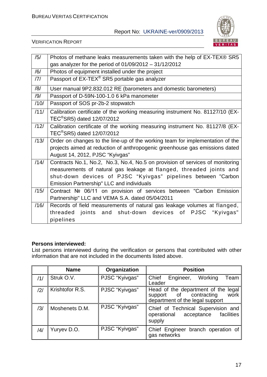

#### VERIFICATION REPORT

| /5/  | Photos of methane leaks measurements taken with the help of EX-TEX® SR5                                                                                                                                                                                            |
|------|--------------------------------------------------------------------------------------------------------------------------------------------------------------------------------------------------------------------------------------------------------------------|
|      | gas analyzer for the period of $01/09/2012 - 31/12/2012$                                                                                                                                                                                                           |
| /6/  | Photos of equipment installed under the project                                                                                                                                                                                                                    |
| /7/  | Passport of EX-TEX <sup>®</sup> SR5 portable gas analyzer                                                                                                                                                                                                          |
| /8/  | User manual 9P2.832.012 RE (barometers and domestic barometers)                                                                                                                                                                                                    |
| /9/  | Passport of D-59N-100-1.0 6 kPa manometer                                                                                                                                                                                                                          |
| /10/ | Passport of SOS pr-2b-2 stopwatch                                                                                                                                                                                                                                  |
| /11/ | Calibration certificate of the working measuring instrument No. 81127/10 (EX-<br>TEC <sup>®</sup> SR5) dated 12/07/2012                                                                                                                                            |
| /12/ | Calibration certificate of the working measuring instrument No. 81127/8 (EX-<br>TEC <sup>®</sup> SR5) dated 12/07/2012                                                                                                                                             |
| /13/ | Order on changes to the line-up of the working team for implementation of the<br>projects aimed at reduction of anthropogenic greenhouse gas emissions dated<br>August 14, 2012, PJSC "Kyivgas"                                                                    |
| /14/ | Contracts No.1, No.2, No.3, No.4, No.5 on provision of services of monitoring<br>measurements of natural gas leakage at flanged, threaded joints and<br>shut-down devices of PJSC "Kyivgas" pipelines between "Carbon<br>Emission Partnership" LLC and individuals |
| /15/ | Contract Nº 06/11 on provision of services between "Carbon Emission<br>Partnership" LLC and VEMA S.A. dated 05/04/2011                                                                                                                                             |
| /16/ | Records of field measurements of natural gas leakage volumes at flanged,<br>threaded joints and shut-down devices of PJSC "Kyivgas"<br>pipelines                                                                                                                   |

#### **Persons interviewed:**

List persons interviewed during the verification or persons that contributed with other information that are not included in the documents listed above.

|     | <b>Name</b>     | Organization   | <b>Position</b>                                                                                          |
|-----|-----------------|----------------|----------------------------------------------------------------------------------------------------------|
| /1/ | Struk O.V.      | PJSC "Kyivgas" | Chief<br>Engineer,<br>Working<br>Team<br>Leader                                                          |
| 2   | Krishtofor R.S. | PJSC "Kyivgas" | Head of the department of the legal<br>support of contracting<br>work<br>department of the legal support |
| /3/ | Moshenets D.M.  | PJSC "Kyivgas" | Chief of Technical Supervision and<br>operational<br>acceptance facilities<br>supply                     |
| /4/ | Yuryev D.O.     | PJSC "Kyivgas" | Chief Engineer branch operation of<br>gas networks                                                       |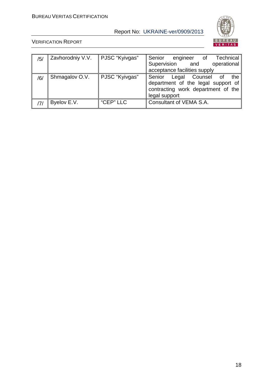

| /5/ | Zavhorodniy V.V. | PJSC "Kyivgas" | Technical<br>Senior<br>engineer of                                                                                                 |
|-----|------------------|----------------|------------------------------------------------------------------------------------------------------------------------------------|
|     |                  |                | Supervision and<br>operational                                                                                                     |
|     |                  |                | acceptance facilities supply                                                                                                       |
| /6/ | Shmagalov O.V.   | PJSC "Kyivgas" | Senior<br>Legal Counsel<br>_of<br>the<br>department of the legal support of<br>contracting work department of the<br>legal support |
|     | Byelov E.V.      | "CEP" LLC      | Consultant of VEMA S.A.                                                                                                            |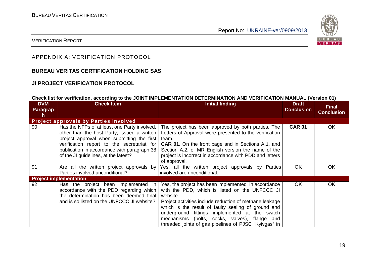

#### VERIFICATION REPORT

#### APPENDIX A: VERIFICATION PROTOCOL

#### **BUREAU VERITAS CERTIFICATION HOLDING SAS**

#### **JI PROJECT VERIFICATION PROTOCOL**

#### **Check list for verification, according to the JOINT IMPLEMENTATION DETERMINATION AND VERIFICATION MANUAL (Version 01)**

| <b>DVM</b><br>Paragrap<br>h | <b>Check Item</b>                                                                                                                                                                                                                                                              | Initial finding                                                                                                                                                                                                                                                                                                                                                                                 | <b>Draft</b><br><b>Conclusion</b> | <b>Final</b><br><b>Conclusion</b> |
|-----------------------------|--------------------------------------------------------------------------------------------------------------------------------------------------------------------------------------------------------------------------------------------------------------------------------|-------------------------------------------------------------------------------------------------------------------------------------------------------------------------------------------------------------------------------------------------------------------------------------------------------------------------------------------------------------------------------------------------|-----------------------------------|-----------------------------------|
|                             | <b>Project approvals by Parties involved</b>                                                                                                                                                                                                                                   |                                                                                                                                                                                                                                                                                                                                                                                                 |                                   |                                   |
| 90                          | Has the NFPs of at least one Party involved,<br>other than the host Party, issued a written<br>project approval when submitting the first<br>verification report to the secretariat for<br>publication in accordance with paragraph 38<br>of the JI guidelines, at the latest? | The project has been approved by both parties. The<br>Letters of Approval were presented to the verification<br>team.<br><b>CAR 01.</b> On the front page and in Sections A.1. and<br>Section A.2. of MR English version the name of the<br>project is incorrect in accordance with PDD and letters<br>of approval.                                                                             | <b>CAR 01</b>                     | OK                                |
| 91                          | Are all the written project approvals by<br>Parties involved unconditional?                                                                                                                                                                                                    | Yes, all the written project approvals by Parties<br>involved are unconditional.                                                                                                                                                                                                                                                                                                                | OK.                               | OK                                |
|                             | <b>Project implementation</b>                                                                                                                                                                                                                                                  |                                                                                                                                                                                                                                                                                                                                                                                                 |                                   |                                   |
| 92                          | Has the project been implemented in<br>accordance with the PDD regarding which<br>the determination has been deemed final<br>and is so listed on the UNFCCC JI website?                                                                                                        | Yes, the project has been implemented in accordance<br>with the PDD, which is listed on the UNFCCC JI<br>website.<br>Project activities include reduction of methane leakage<br>which is the result of faulty sealing of ground and<br>underground fittings implemented at the switch<br>mechanisms (bolts, cocks, valves), flange and<br>threaded joints of gas pipelines of PJSC "Kyivgas" in | OK.                               | <b>OK</b>                         |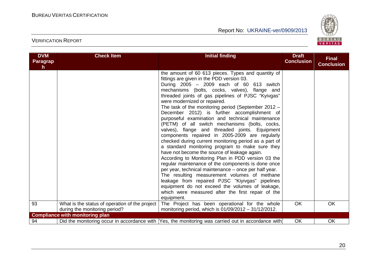

| <b>DVM</b><br><b>Paragrap</b><br>h. | <b>Check Item</b>                                                               | <b>Initial finding</b>                                                                                                                                                                                                                                                                                                                                                                                                                                                                                                                                                                                                                                                                                                                                                                                                                                                                                                                                                                                                                                                                                                                                       | <b>Draft</b><br><b>Conclusion</b> | <b>Final</b><br><b>Conclusion</b> |
|-------------------------------------|---------------------------------------------------------------------------------|--------------------------------------------------------------------------------------------------------------------------------------------------------------------------------------------------------------------------------------------------------------------------------------------------------------------------------------------------------------------------------------------------------------------------------------------------------------------------------------------------------------------------------------------------------------------------------------------------------------------------------------------------------------------------------------------------------------------------------------------------------------------------------------------------------------------------------------------------------------------------------------------------------------------------------------------------------------------------------------------------------------------------------------------------------------------------------------------------------------------------------------------------------------|-----------------------------------|-----------------------------------|
|                                     |                                                                                 | the amount of 60 613 pieces. Types and quantity of<br>fittings are given in the PDD version 03.<br>During 2005 - 2009 each of 60 613 switch<br>mechanisms (bolts, cocks, valves), flange and<br>threaded joints of gas pipelines of PJSC "Kyivgas"<br>were modernized or repaired.<br>The task of the monitoring period (September 2012 -<br>December 2012) is further accomplishment of<br>purposeful examination and technical maintenance<br>(PETM) of all switch mechanisms (bolts, cocks,<br>valves), flange and threaded joints. Equipment<br>components repaired in 2005-2009 are regularly<br>checked during current monitoring period as a part of<br>a standard monitoring program to make sure they<br>have not become the source of leakage again.<br>According to Monitoring Plan in PDD version 03 the<br>regular maintenance of the components is done once<br>per year, technical maintenance - once per half year.<br>The resulting measurement volumes of methane<br>leakage from repaired PJSC "Kiyivgas" pipelines<br>equipment do not exceed the volumes of leakage,<br>which were measured after the first repair of the<br>equipment. |                                   |                                   |
| 93                                  | What is the status of operation of the project<br>during the monitoring period? | The Project has been operational for the whole<br>monitoring period, which is $01/09/2012 - 31/12/2012$ .                                                                                                                                                                                                                                                                                                                                                                                                                                                                                                                                                                                                                                                                                                                                                                                                                                                                                                                                                                                                                                                    | <b>OK</b>                         | OK                                |
|                                     | <b>Compliance with monitoring plan</b>                                          |                                                                                                                                                                                                                                                                                                                                                                                                                                                                                                                                                                                                                                                                                                                                                                                                                                                                                                                                                                                                                                                                                                                                                              |                                   |                                   |
| 94                                  |                                                                                 | Did the monitoring occur in accordance with  Yes, the monitoring was carried out in accordance with                                                                                                                                                                                                                                                                                                                                                                                                                                                                                                                                                                                                                                                                                                                                                                                                                                                                                                                                                                                                                                                          | OK                                | OK                                |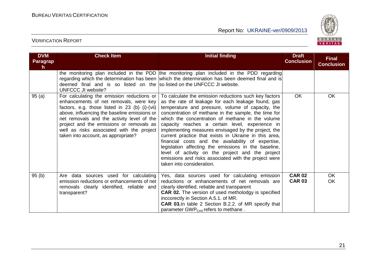

| <b>DVM</b><br><b>Paragrap</b><br>h. | <b>Check Item</b>                                                                                                                                                                                                                                                                                                                                                    | <b>Initial finding</b>                                                                                                                                                                                                                                                                                                                                                                                                                                                                                                                                                                                                                                                                                 | <b>Draft</b><br><b>Conclusion</b> | <b>Final</b><br><b>Conclusion</b> |
|-------------------------------------|----------------------------------------------------------------------------------------------------------------------------------------------------------------------------------------------------------------------------------------------------------------------------------------------------------------------------------------------------------------------|--------------------------------------------------------------------------------------------------------------------------------------------------------------------------------------------------------------------------------------------------------------------------------------------------------------------------------------------------------------------------------------------------------------------------------------------------------------------------------------------------------------------------------------------------------------------------------------------------------------------------------------------------------------------------------------------------------|-----------------------------------|-----------------------------------|
|                                     | deemed final and is so listed on the solisted on the UNFCCC JI website.<br><b>UNFCCC JI website?</b>                                                                                                                                                                                                                                                                 | the monitoring plan included in the PDD the monitoring plan included in the PDD regarding<br>regarding which the determination has been which the determination has been deemed final and is                                                                                                                                                                                                                                                                                                                                                                                                                                                                                                           |                                   |                                   |
| 95(a)                               | For calculating the emission reductions or<br>enhancements of net removals, were key<br>factors, e.g. those listed in 23 (b) (i)-(vii)<br>above, influencing the baseline emissions or<br>net removals and the activity level of the<br>project and the emissions or removals as<br>well as risks associated with the project<br>taken into account, as appropriate? | To calculate the emission reductions such key factors<br>as the rate of leakage for each leakage found, gas<br>temperature and pressure, volume of capacity, the<br>concentration of methane in the sample, the time for<br>which the concentration of methane in the volume<br>capacity reaches a certain level, experience in<br>implementing measures envisaged by the project, the<br>current practice that exists in Ukraine in this area,<br>financial costs and the availability of expertise,<br>legislation affecting the emissions in the baseline,<br>level of activity on the project and the project<br>emissions and risks associated with the project were<br>taken into consideration. | <b>OK</b>                         | OK                                |
| 95(b)                               | Are data sources used for calculating<br>emission reductions or enhancements of net<br>removals clearly identified, reliable and<br>transparent?                                                                                                                                                                                                                     | Yes, data sources used for calculating emission<br>reductions or enhancements of net removals are<br>clearly identified, reliable and transparent<br><b>CAR 02.</b> The version of used metholodgy is specified<br>inccorectly in Section A.5.1. of MR.<br><b>CAR 03.</b> In table 2 Section B.2.2. of MR specify that<br>parameter GWP <sub>CH4</sub> refers to methane.                                                                                                                                                                                                                                                                                                                              | <b>CAR 02</b><br><b>CAR 03</b>    | <b>OK</b><br><b>OK</b>            |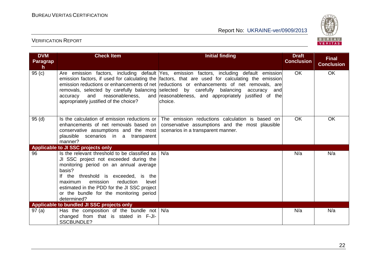

| <b>DVM</b><br><b>Paragrap</b><br>$\mathsf{h}$ | <b>Check Item</b>                                                                                                                                                                                                                                                                                                                         | <b>Initial finding</b>                                                                                                                                                                                                                                                                                                                                                               | <b>Draft</b><br><b>Conclusion</b> | <b>Final</b><br><b>Conclusion</b> |
|-----------------------------------------------|-------------------------------------------------------------------------------------------------------------------------------------------------------------------------------------------------------------------------------------------------------------------------------------------------------------------------------------------|--------------------------------------------------------------------------------------------------------------------------------------------------------------------------------------------------------------------------------------------------------------------------------------------------------------------------------------------------------------------------------------|-----------------------------------|-----------------------------------|
| 95(c)                                         | removals, selected by carefully balancing selected by carefully balancing<br>reasonableness,<br>and<br>accuracy<br>appropriately justified of the choice?                                                                                                                                                                                 | Are emission factors, including default Yes, emission factors, including default emission<br>emission factors, if used for calculating the factors, that are used for calculating the emission<br>emission reductions or enhancements of net reductions or enhancements of net removals, are<br>accuracy<br>and<br>and reasonableness, and appropriately justified of the<br>choice. | OK.                               | <b>OK</b>                         |
| 95(d)                                         | Is the calculation of emission reductions or<br>enhancements of net removals based on<br>conservative assumptions and the most<br>plausible scenarios in a transparent<br>manner?                                                                                                                                                         | The emission reductions calculation is based on<br>conservative assumptions and the most plausible<br>scenarios in a transparent manner.                                                                                                                                                                                                                                             | <b>OK</b>                         | <b>OK</b>                         |
|                                               | Applicable to JI SSC projects only                                                                                                                                                                                                                                                                                                        |                                                                                                                                                                                                                                                                                                                                                                                      |                                   |                                   |
| 96                                            | Is the relevant threshold to be classified as<br>JI SSC project not exceeded during the<br>monitoring period on an annual average<br>basis?<br>If the threshold is exceeded, is the<br>emission<br>reduction<br>level<br>maximum<br>estimated in the PDD for the JI SSC project<br>or the bundle for the monitoring period<br>determined? | N/a                                                                                                                                                                                                                                                                                                                                                                                  | N/a                               | N/a                               |
|                                               | Applicable to bundled JI SSC projects only                                                                                                                                                                                                                                                                                                |                                                                                                                                                                                                                                                                                                                                                                                      |                                   |                                   |
| 97(a)                                         | Has the composition of the bundle not $N/a$<br>changed from that is stated in F-JI-<br><b>SSCBUNDLE?</b>                                                                                                                                                                                                                                  |                                                                                                                                                                                                                                                                                                                                                                                      | N/a                               | N/a                               |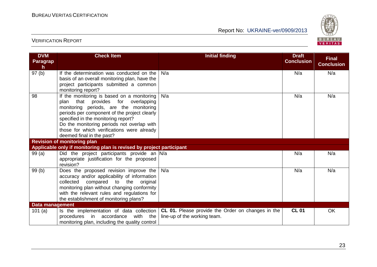

| <b>DVM</b><br><b>Paragrap</b><br>h. | <b>Check Item</b>                                                                                                                                                                                                                                                                                                                             | <b>Initial finding</b>                                                                                                                  | <b>Draft</b><br><b>Conclusion</b> | <b>Final</b><br><b>Conclusion</b> |
|-------------------------------------|-----------------------------------------------------------------------------------------------------------------------------------------------------------------------------------------------------------------------------------------------------------------------------------------------------------------------------------------------|-----------------------------------------------------------------------------------------------------------------------------------------|-----------------------------------|-----------------------------------|
| 97(b)                               | If the determination was conducted on the<br>basis of an overall monitoring plan, have the<br>project participants submitted a common<br>monitoring report?                                                                                                                                                                                   | N/a                                                                                                                                     | N/a                               | N/a                               |
| 98                                  | If the monitoring is based on a monitoring<br>that provides for overlapping<br>plan<br>monitoring periods, are the monitoring<br>periods per component of the project clearly<br>specified in the monitoring report?<br>Do the monitoring periods not overlap with<br>those for which verifications were already<br>deemed final in the past? | N/a                                                                                                                                     | N/a                               | N/a                               |
|                                     | <b>Revision of monitoring plan</b><br>Applicable only if monitoring plan is revised by project participant                                                                                                                                                                                                                                    |                                                                                                                                         |                                   |                                   |
| 99(a)                               | Did the project participants provide an N/a<br>appropriate justification for the proposed<br>revision?                                                                                                                                                                                                                                        |                                                                                                                                         | N/a                               | N/a                               |
| 99(b)                               | Does the proposed revision improve the<br>accuracy and/or applicability of information<br>compared<br>collected<br>to the<br>original<br>monitoring plan without changing conformity<br>with the relevant rules and regulations for<br>the establishment of monitoring plans?                                                                 | N/a                                                                                                                                     | N/a                               | N/a                               |
| Data management                     |                                                                                                                                                                                                                                                                                                                                               |                                                                                                                                         |                                   |                                   |
| 101(a)                              | with the<br>procedures<br>in<br>accordance<br>monitoring plan, including the quality control                                                                                                                                                                                                                                                  | Is the implementation of data collection $\mathsf{CL}\ 01$ . Please provide the Order on changes in the<br>line-up of the working team. | <b>CL 01</b>                      | OK                                |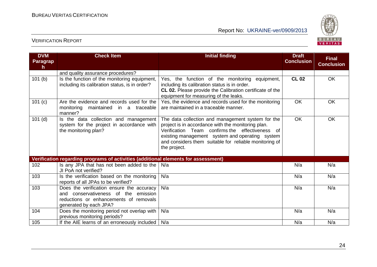

| <b>DVM</b><br><b>Paragrap</b><br>h | <b>Check Item</b>                                                                                                                                     | <b>Initial finding</b>                                                                                                                                                                                                                                                                     | <b>Draft</b><br><b>Conclusion</b> | <b>Final</b><br><b>Conclusion</b> |
|------------------------------------|-------------------------------------------------------------------------------------------------------------------------------------------------------|--------------------------------------------------------------------------------------------------------------------------------------------------------------------------------------------------------------------------------------------------------------------------------------------|-----------------------------------|-----------------------------------|
|                                    | and quality assurance procedures?                                                                                                                     |                                                                                                                                                                                                                                                                                            |                                   |                                   |
| 101(b)                             | Is the function of the monitoring equipment,<br>including its calibration status, is in order?                                                        | Yes, the function of the monitoring equipment,<br>including its calibration status is in order.<br>CL 02. Please provide the Calibration certificate of the<br>equipment for measuring of the leaks.                                                                                       | <b>CL 02</b>                      | OK                                |
| 101(c)                             | Are the evidence and records used for the<br>maintained in a traceable<br>monitoring<br>manner?                                                       | Yes, the evidence and records used for the monitoring<br>are maintained in a traceable manner.                                                                                                                                                                                             | <b>OK</b>                         | <b>OK</b>                         |
| $101$ (d)                          | Is the data collection and management<br>system for the project in accordance with<br>the monitoring plan?                                            | The data collection and management system for the<br>project is in accordance with the monitoring plan.<br>Verification Team confirms the effectiveness<br>of<br>existing management system and operating system<br>and considers them suitable for reliable monitoring of<br>the project. | <b>OK</b>                         | OK                                |
|                                    | Verification regarding programs of activities (additional elements for assessment)                                                                    |                                                                                                                                                                                                                                                                                            |                                   |                                   |
| 102                                | Is any JPA that has not been added to the<br>JI PoA not verified?                                                                                     | N/a                                                                                                                                                                                                                                                                                        | N/a                               | N/a                               |
| 103                                | Is the verification based on the monitoring<br>reports of all JPAs to be verified?                                                                    | N/a                                                                                                                                                                                                                                                                                        | N/a                               | N/a                               |
| 103                                | Does the verification ensure the accuracy<br>and conservativeness of the emission<br>reductions or enhancements of removals<br>generated by each JPA? | N/a                                                                                                                                                                                                                                                                                        | N/a                               | N/a                               |
| 104                                | Does the monitoring period not overlap with<br>previous monitoring periods?                                                                           | N/a                                                                                                                                                                                                                                                                                        | N/a                               | N/a                               |
| 105                                | If the AIE learns of an erroneously included                                                                                                          | N/a                                                                                                                                                                                                                                                                                        | N/a                               | N/a                               |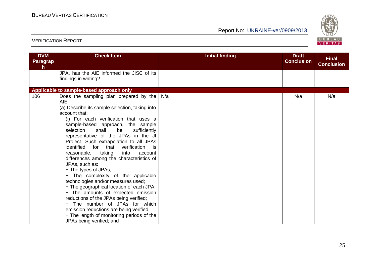

| <b>DVM</b><br><b>Paragrap</b><br>h. | <b>Check Item</b>                                                                                                                                                                                                                                                                                                                                                                                                                                                                                                                                                                                                                                                                                                                                                                                                                                                         | <b>Initial finding</b> | <b>Draft</b><br><b>Conclusion</b> | <b>Final</b><br><b>Conclusion</b> |
|-------------------------------------|---------------------------------------------------------------------------------------------------------------------------------------------------------------------------------------------------------------------------------------------------------------------------------------------------------------------------------------------------------------------------------------------------------------------------------------------------------------------------------------------------------------------------------------------------------------------------------------------------------------------------------------------------------------------------------------------------------------------------------------------------------------------------------------------------------------------------------------------------------------------------|------------------------|-----------------------------------|-----------------------------------|
|                                     | JPA, has the AIE informed the JISC of its<br>findings in writing?                                                                                                                                                                                                                                                                                                                                                                                                                                                                                                                                                                                                                                                                                                                                                                                                         |                        |                                   |                                   |
|                                     | Applicable to sample-based approach only                                                                                                                                                                                                                                                                                                                                                                                                                                                                                                                                                                                                                                                                                                                                                                                                                                  |                        |                                   |                                   |
| 106                                 | Does the sampling plan prepared by the<br>AIE:<br>(a) Describe its sample selection, taking into<br>account that:<br>(i) For each verification that uses a<br>sample-based approach, the sample<br>shall<br>selection<br>be<br>sufficiently<br>representative of the JPAs in the JI<br>Project. Such extrapolation to all JPAs<br>identified for that<br>verification<br>is<br>reasonable,<br>taking<br>into<br>account<br>differences among the characteristics of<br>JPAs, such as:<br>- The types of JPAs;<br>- The complexity of the applicable<br>technologies and/or measures used;<br>- The geographical location of each JPA;<br>- The amounts of expected emission<br>reductions of the JPAs being verified;<br>The number of JPAs for which<br>emission reductions are being verified;<br>- The length of monitoring periods of the<br>JPAs being verified; and | N/a                    | N/a                               | N/a                               |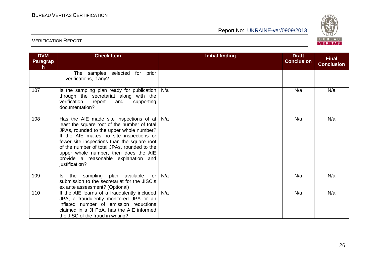

| <b>DVM</b><br>Paragrap<br>h. | <b>Check Item</b>                                                                                                                                                                                                                                                                                                                                                                           | <b>Initial finding</b> | <b>Draft</b><br><b>Conclusion</b> | <b>Final</b><br><b>Conclusion</b> |
|------------------------------|---------------------------------------------------------------------------------------------------------------------------------------------------------------------------------------------------------------------------------------------------------------------------------------------------------------------------------------------------------------------------------------------|------------------------|-----------------------------------|-----------------------------------|
|                              | - The samples selected for prior<br>verifications, if any?                                                                                                                                                                                                                                                                                                                                  |                        |                                   |                                   |
| 107                          | Is the sampling plan ready for publication $\vert$ N/a<br>through the secretariat along with the<br>verification<br>report<br>supporting<br>and<br>documentation?                                                                                                                                                                                                                           |                        | N/a                               | N/a                               |
| 108                          | Has the AIE made site inspections of at $\vert$ N/a<br>least the square root of the number of total<br>JPAs, rounded to the upper whole number?<br>If the AIE makes no site inspections or<br>fewer site inspections than the square root<br>of the number of total JPAs, rounded to the<br>upper whole number, then does the AIE<br>provide a reasonable explanation and<br>justification? |                        | N/a                               | N/a                               |
| 109                          | Is the sampling plan available<br>for<br>submission to the secretariat for the JISC.s<br>ex ante assessment? (Optional)                                                                                                                                                                                                                                                                     | N/a                    | N/a                               | N/a                               |
| 110                          | If the AIE learns of a fraudulently included<br>JPA, a fraudulently monitored JPA or an<br>inflated number of emission reductions<br>claimed in a JI PoA, has the AIE informed<br>the JISC of the fraud in writing?                                                                                                                                                                         | N/a                    | N/a                               | N/a                               |